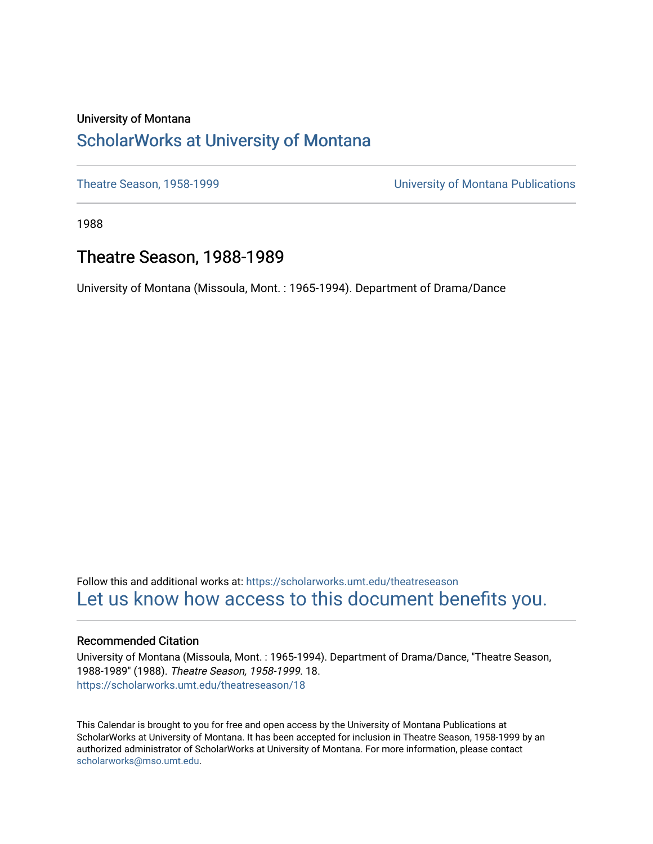#### University of Montana [ScholarWorks at University of Montana](https://scholarworks.umt.edu/)

[Theatre Season, 1958-1999](https://scholarworks.umt.edu/theatreseason) [University of Montana Publications](https://scholarworks.umt.edu/umpubs) 

1988

#### Theatre Season, 1988-1989

University of Montana (Missoula, Mont. : 1965-1994). Department of Drama/Dance

Follow this and additional works at: [https://scholarworks.umt.edu/theatreseason](https://scholarworks.umt.edu/theatreseason?utm_source=scholarworks.umt.edu%2Ftheatreseason%2F18&utm_medium=PDF&utm_campaign=PDFCoverPages)  [Let us know how access to this document benefits you.](https://goo.gl/forms/s2rGfXOLzz71qgsB2) 

#### Recommended Citation

University of Montana (Missoula, Mont. : 1965-1994). Department of Drama/Dance, "Theatre Season, 1988-1989" (1988). Theatre Season, 1958-1999. 18. [https://scholarworks.umt.edu/theatreseason/18](https://scholarworks.umt.edu/theatreseason/18?utm_source=scholarworks.umt.edu%2Ftheatreseason%2F18&utm_medium=PDF&utm_campaign=PDFCoverPages) 

This Calendar is brought to you for free and open access by the University of Montana Publications at ScholarWorks at University of Montana. It has been accepted for inclusion in Theatre Season, 1958-1999 by an authorized administrator of ScholarWorks at University of Montana. For more information, please contact [scholarworks@mso.umt.edu.](mailto:scholarworks@mso.umt.edu)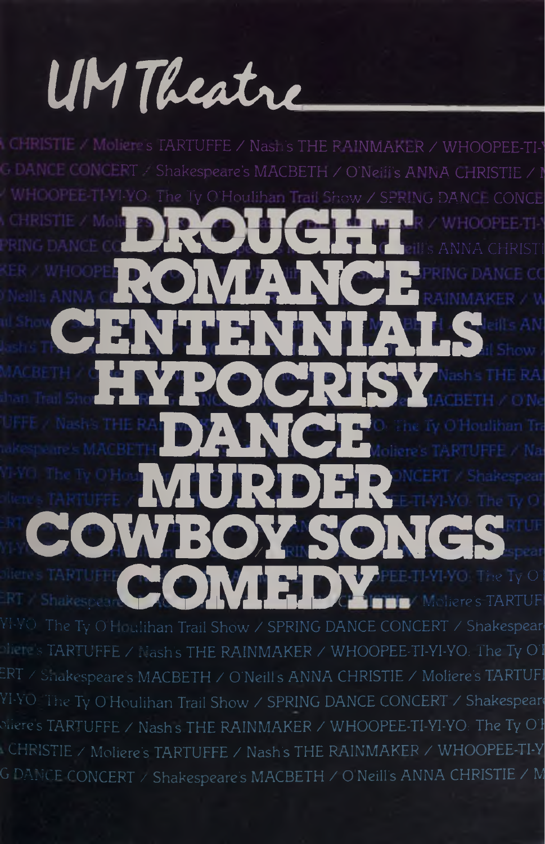## UM Theatre

CHRISTIE / Moliete's TARTUFFE / Nash's THE RAINMAKER / WHOOPFF-TI-**J DANCE CONCEPT** / Shakespeare's MACBETH / O'Neifi's ANNA CHRISTIE / I **NI-YO** The Ty O'Houlihan Trail Show **NHOOPEE-TI-Y** ere's TARTUFI  $\circ$  iere's TARTUFFE  $\angle$  Nash's THE RAINMAKER  $\angle$  WHOOPEE-TI-YI-YO: The Ty OT  $\overline{\text{ERT}}\times \text{Stakespeace's MACBETH} \times \text{O'Neills ANNA CHRISTIE} \times \text{Moliere's TARTUFI}$ YI-YO The Ty O Houlihan Trail Show / SPRING DANCE CONCERT / Shakespeare  $\circ$ iiere's TARTUFFE / Nash's THE RAINMAKER / WHOOPEE-TI-YI-YO: The Ty O I CHRISTIE / Moliere's TARTUFFE / Nash's THE RAINMAKER / WHOOPEE-TI-Y G DANCE CONCERT  $\times$  Shakespeare's MACBETH  $\times$  O Neill's ANNA CHRISTIE  $\times$  M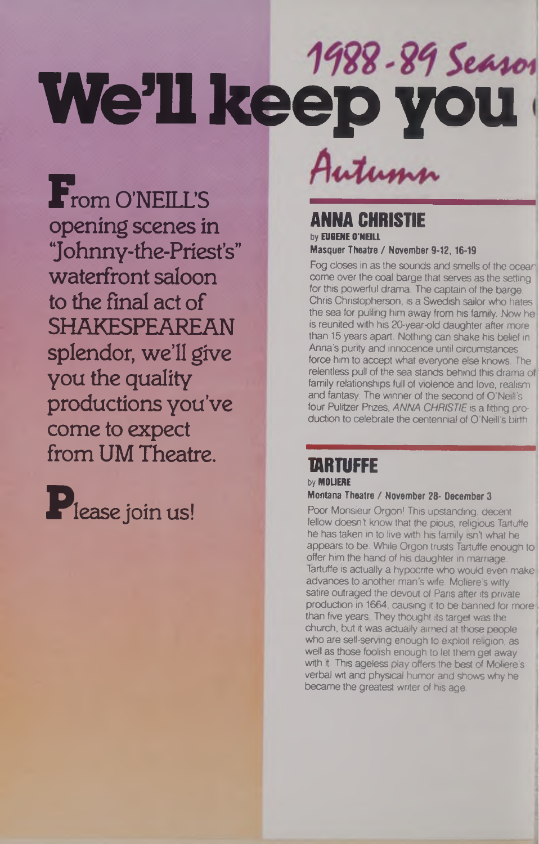# **We'll keep you**

From O'NEILL'S opening scenes in 'Johnny-the-Priest's" waterfront saloon to the final act of SHAKESPEAREAN splendor, we'll give you the quality productions you've come to expect from UM Theatre.

Please join us!

Autumn

#### **ANNA CHRISTIE by EU6ENE O'NEILL Masquer Theatre / November 9-12,16-19**

Fog closes in as the sounds and smells of the ocear, come over the coal barge that serves as the setting for this powerful drama. The captain of the barge, Chris Christopherson, is a Swedish sailor who hates | the sea for pulling him away from his family. Now he is reunited with his 20-year-old daughter after more than 15 years apart. Nothing can shake his belief in Anna's purity and innocence until circumstances force him to accept what everyone else knows. The relentless pull of the sea stands behind this drama of family relationships full of violence and love, realism and fantasy. The winner of the second of O'Neill's four Pulitzer Prizes, ANNA CHRISTIE is a fitting production to celebrate the centennial of O'Neill's birth.

#### **TARTUFFE byMOUERE**

#### **Montana Theatre** *I* **November 28- December <sup>3</sup>**

Poor Monsieur Orgon! This upstanding, decent fellow doesn't know that the pious, religious Tartuffe he has taken in to live with his family isn't what he appears to be. While Orgon trusts Tartuffe enough to offer him the hand of his daughter in marriage, Tartuffe is actually a hypocrite who would even make advances to another man's wife. Moliere's wilty satire outraged the devout of Paris after its private production in 1664, causing it to be banned for more than five years. They thought its target was the church, but it was actually aimed at those people who are self-serving enough to exploit religion, as well as those foolish enough to let them get away with it. This ageless play offers the best of Moliere's verbal wit and physical humor and shows why he became the greatest writer of his age.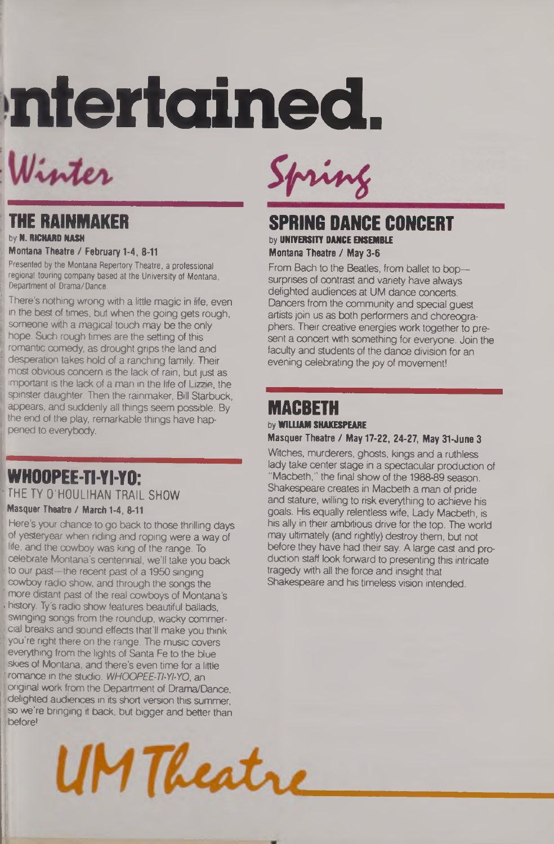# **ntertained.**

### Winter

#### **THE RAINMAKER by N. RICHARD NASH**

#### **<sup>i</sup> Montana Theatre / February 1-4, 8-11**

**I Presented by the Montana Repertory Theatre, a professional r regional touring company based at the University of Montana. [ Department of Drama/Dance.**

There's nothing wrong with a little magic in life, even in the best of times, but when the going gets rough, someone with a magical touch may be the only hope. Such rough times are the setting of this romantic comedy, as drought grips the land and desperation takes hold of a ranching family. Their most obvious concern is the lack of rain, but just as important is the lack of a man in the life of Lizzie, the spinster daughter. Then the rainmaker, Bill Starbuck, appears, and suddenly all things seem possible. By the end of the play, remarkable things have happened to everybody.

#### **WHOOPEE-TI-YI-YO:** THE TY O'HOULIHAN TRAIL SHOW

**Masquer Theatre** *I* **March 1-4,8-11**

Here's your chance to go back to those thrilling days **I** of yesteryear when riding and roping were a way of Ife, and the cowboy was king of the range. To celebrate Montana's centennial, we'll take you back to our past-the recent past of a 1950 singing cowboy radio show, and through the songs the | more distant past of the real cowboys of Montana'<sup>s</sup> history. Ty's radio show features beautiful ballads, swinging songs from the roundup, wacky commercial breaks and sound effects that'll make you think you're right there on the range. The music covers everything from the lights of Santa Fe to the blue skies of Montana, and there's even time for a little romance in the studio. WHOOPEE-TI-YI-YO, an original work from the Department of Drama/Dance, delighted audiences in its short version this summer, so we're bringing it back, but bigger and better than ibefore!





#### **SPRING DANCE CONCERT by UNIVERSITY DANCE ENSEMBLE Montana Theatre** *I* **May 3-6**

From Bach to the Beatles, from ballet to bop surprises of contrast and variety have always delighted audiences at UM dance concerts. Dancers from the community and special guest artists join us as both performers and choreographers. Their creative energies work together to present a concert with something for everyone. Join the faculty and students of the dance division for an evening celebrating the joy of movement!

#### **MACBETH by WILLIAM SHAKESPEARE**

#### **Masquer Theatre** *I* **May 17-22, 24-27, May 31-June <sup>3</sup>**

Witches, murderers, ghosts, kings and a ruthless lady take center stage in a spectacular production of "Macbeth," the final show of the 1988-89 season. Shakespeare creates in Macbeth a man of pride and stature, willing to risk everything to achieve his goals. His equally relentless wife, Lady Macbeth, is his ally in their ambitious drive for the top. The world may ultimately (and rightly) destroy them, but not before they have had their say. A large cast and production staff look forward to presenting this intricate tragedy with all the force and insight that Shakespeare and his timeless vision intended.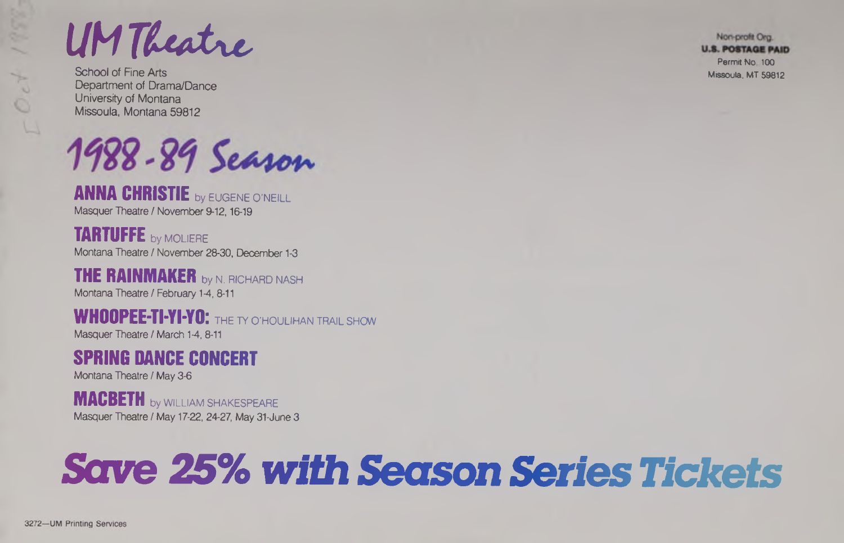UM Theatre we also the computation

School of Fine Arts Missoula, MT 59812 Department of Drama/Dance University of Montana Missoula, Montana 59812

1988-89 Season

**ANNA CHRISTIE** by EUGENE <sup>O</sup> 'NEILL Masquer Theatre / November 9-12, 16-19

**TARTUFFE** by MOLIERE Montana Theatre / November 28-30, December 1-3

**THE RAINMAKER** by N. RICHARD NASH Montana Theatre / February 1-4, 8-11

**WHOOPEE-TI-YI-YO:** THE TY O'HOULIHAN TRAIL SHOW Masquer Theatre / March 1-4, 8-11

#### **SPRING DANCE CONCERT**

Montana Theatre / May 3-6

**MACBETH** by WILLIAM SHAKESPEARE Masquer Theatre / May 17-22,24-27, May 31-June <sup>3</sup>

### **Save 25%***with Season Series Tickets*